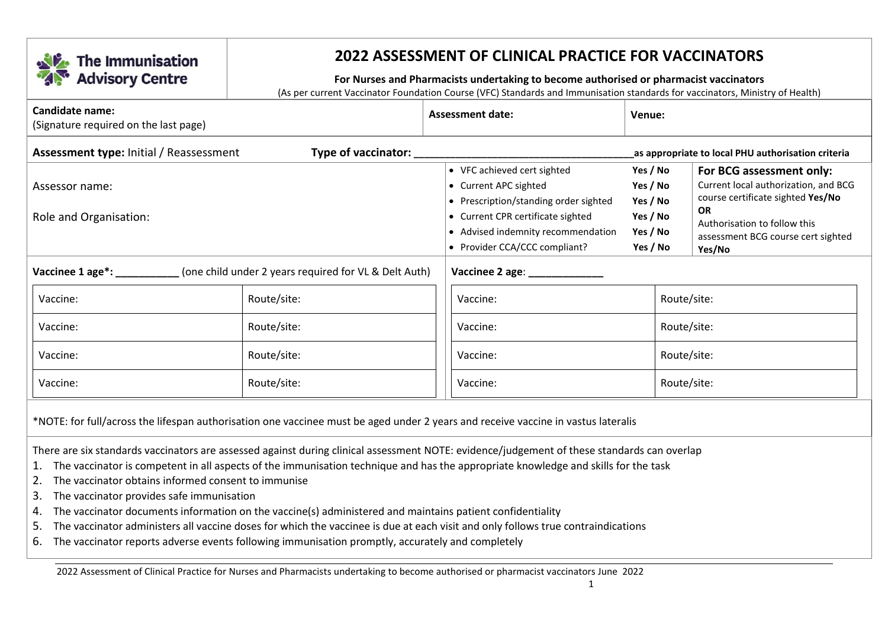

## **2022 ASSESSMENT OF CLINICAL PRACTICE FOR VACCINATORS**

## **For Nurses and Pharmacists undertaking to become authorised or pharmacist vaccinators**

(As per current Vaccinator Foundation Course (VFC) Standards and Immunisation standards for vaccinators, Ministry of Health)

| Candidate name:<br>(Signature required on the last page)                                                                                                                                                                                                                                                                                                                                                                                                                                                                                                                                                                                                                                                                                                                       |                                                    | <b>Assessment date:</b>                                                                                                                                                                                              | Venue:                                                               |                                                                                                                                                                                                    |  |
|--------------------------------------------------------------------------------------------------------------------------------------------------------------------------------------------------------------------------------------------------------------------------------------------------------------------------------------------------------------------------------------------------------------------------------------------------------------------------------------------------------------------------------------------------------------------------------------------------------------------------------------------------------------------------------------------------------------------------------------------------------------------------------|----------------------------------------------------|----------------------------------------------------------------------------------------------------------------------------------------------------------------------------------------------------------------------|----------------------------------------------------------------------|----------------------------------------------------------------------------------------------------------------------------------------------------------------------------------------------------|--|
| <b>Assessment type: Initial / Reassessment</b><br>Type of vaccinator: __                                                                                                                                                                                                                                                                                                                                                                                                                                                                                                                                                                                                                                                                                                       | as appropriate to local PHU authorisation criteria |                                                                                                                                                                                                                      |                                                                      |                                                                                                                                                                                                    |  |
| Assessor name:<br>Role and Organisation:                                                                                                                                                                                                                                                                                                                                                                                                                                                                                                                                                                                                                                                                                                                                       |                                                    | • VFC achieved cert sighted<br>• Current APC sighted<br>• Prescription/standing order sighted<br>• Current CPR certificate sighted<br>Advised indemnity recommendation<br>$\bullet$<br>• Provider CCA/CCC compliant? | Yes / No<br>Yes / No<br>Yes / No<br>Yes / No<br>Yes / No<br>Yes / No | For BCG assessment only:<br>Current local authorization, and BCG<br>course certificate sighted Yes/No<br><b>OR</b><br>Authorisation to follow this<br>assessment BCG course cert sighted<br>Yes/No |  |
| Vaccinee 1 age*:<br>(one child under 2 years required for VL & Delt Auth)                                                                                                                                                                                                                                                                                                                                                                                                                                                                                                                                                                                                                                                                                                      | Vaccinee 2 age: __________                         |                                                                                                                                                                                                                      |                                                                      |                                                                                                                                                                                                    |  |
| Route/site:<br>Vaccine:                                                                                                                                                                                                                                                                                                                                                                                                                                                                                                                                                                                                                                                                                                                                                        |                                                    | Route/site:<br>Vaccine:                                                                                                                                                                                              |                                                                      |                                                                                                                                                                                                    |  |
| Route/site:<br>Vaccine:                                                                                                                                                                                                                                                                                                                                                                                                                                                                                                                                                                                                                                                                                                                                                        |                                                    | Vaccine:                                                                                                                                                                                                             | Route/site:                                                          |                                                                                                                                                                                                    |  |
| Route/site:<br>Vaccine:                                                                                                                                                                                                                                                                                                                                                                                                                                                                                                                                                                                                                                                                                                                                                        |                                                    | Vaccine:                                                                                                                                                                                                             |                                                                      | Route/site:                                                                                                                                                                                        |  |
| Route/site:<br>Vaccine:                                                                                                                                                                                                                                                                                                                                                                                                                                                                                                                                                                                                                                                                                                                                                        |                                                    | Vaccine:                                                                                                                                                                                                             |                                                                      | Route/site:                                                                                                                                                                                        |  |
| *NOTE: for full/across the lifespan authorisation one vaccinee must be aged under 2 years and receive vaccine in vastus lateralis                                                                                                                                                                                                                                                                                                                                                                                                                                                                                                                                                                                                                                              |                                                    |                                                                                                                                                                                                                      |                                                                      |                                                                                                                                                                                                    |  |
| There are six standards vaccinators are assessed against during clinical assessment NOTE: evidence/judgement of these standards can overlap<br>The vaccinator is competent in all aspects of the immunisation technique and has the appropriate knowledge and skills for the task<br>1.<br>The vaccinator obtains informed consent to immunise<br>2.<br>3.<br>The vaccinator provides safe immunisation<br>The vaccinator documents information on the vaccine(s) administered and maintains patient confidentiality<br>4.<br>The vaccinator administers all vaccine doses for which the vaccinee is due at each visit and only follows true contraindications<br>5.<br>The vaccinator reports adverse events following immunisation promptly, accurately and completely<br>6. |                                                    |                                                                                                                                                                                                                      |                                                                      |                                                                                                                                                                                                    |  |

2022 Assessment of Clinical Practice for Nurses and Pharmacists undertaking to become authorised or pharmacist vaccinators June 2022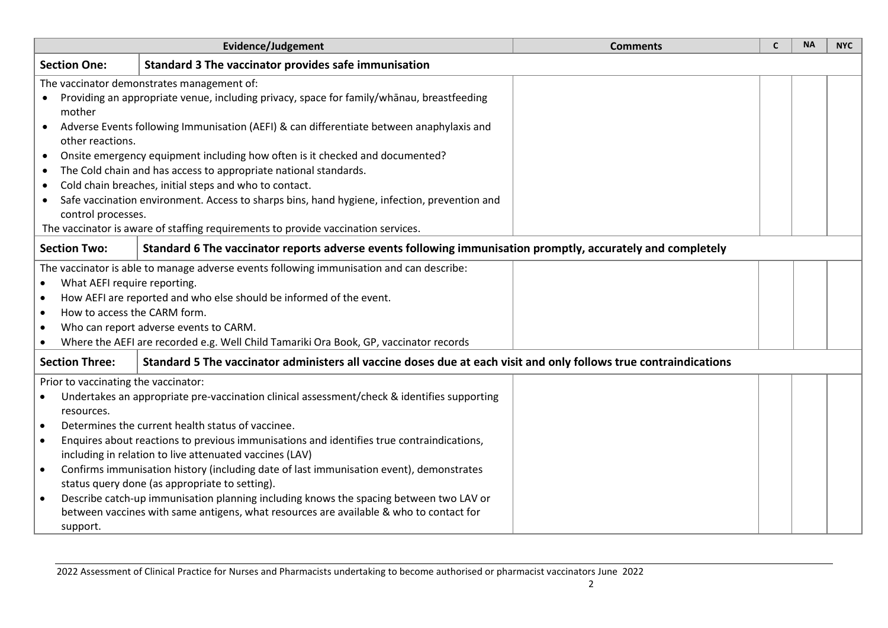| Evidence/Judgement                                                                                                                 | <b>Comments</b>                                                                                                   | $\mathsf{C}$ | <b>NA</b> | <b>NYC</b> |
|------------------------------------------------------------------------------------------------------------------------------------|-------------------------------------------------------------------------------------------------------------------|--------------|-----------|------------|
| <b>Section One:</b><br>Standard 3 The vaccinator provides safe immunisation                                                        |                                                                                                                   |              |           |            |
| The vaccinator demonstrates management of:                                                                                         |                                                                                                                   |              |           |            |
| Providing an appropriate venue, including privacy, space for family/whanau, breastfeeding<br>$\bullet$                             |                                                                                                                   |              |           |            |
| mother                                                                                                                             |                                                                                                                   |              |           |            |
| Adverse Events following Immunisation (AEFI) & can differentiate between anaphylaxis and<br>$\bullet$                              |                                                                                                                   |              |           |            |
| other reactions.                                                                                                                   |                                                                                                                   |              |           |            |
| Onsite emergency equipment including how often is it checked and documented?<br>$\bullet$                                          |                                                                                                                   |              |           |            |
| The Cold chain and has access to appropriate national standards.<br>$\bullet$                                                      |                                                                                                                   |              |           |            |
| Cold chain breaches, initial steps and who to contact.<br>$\bullet$                                                                |                                                                                                                   |              |           |            |
| Safe vaccination environment. Access to sharps bins, hand hygiene, infection, prevention and<br>$\bullet$                          |                                                                                                                   |              |           |            |
| control processes.                                                                                                                 |                                                                                                                   |              |           |            |
| The vaccinator is aware of staffing requirements to provide vaccination services.                                                  |                                                                                                                   |              |           |            |
| Standard 6 The vaccinator reports adverse events following immunisation promptly, accurately and completely<br><b>Section Two:</b> |                                                                                                                   |              |           |            |
| The vaccinator is able to manage adverse events following immunisation and can describe:                                           |                                                                                                                   |              |           |            |
| What AEFI require reporting.<br>$\bullet$                                                                                          |                                                                                                                   |              |           |            |
| How AEFI are reported and who else should be informed of the event.<br>$\bullet$                                                   |                                                                                                                   |              |           |            |
| How to access the CARM form.<br>$\bullet$                                                                                          |                                                                                                                   |              |           |            |
| Who can report adverse events to CARM.<br>$\bullet$                                                                                |                                                                                                                   |              |           |            |
| Where the AEFI are recorded e.g. Well Child Tamariki Ora Book, GP, vaccinator records<br>$\bullet$                                 |                                                                                                                   |              |           |            |
| <b>Section Three:</b>                                                                                                              | Standard 5 The vaccinator administers all vaccine doses due at each visit and only follows true contraindications |              |           |            |
| Prior to vaccinating the vaccinator:                                                                                               |                                                                                                                   |              |           |            |
| Undertakes an appropriate pre-vaccination clinical assessment/check & identifies supporting                                        |                                                                                                                   |              |           |            |
| resources.                                                                                                                         |                                                                                                                   |              |           |            |
| Determines the current health status of vaccinee.<br>$\bullet$                                                                     |                                                                                                                   |              |           |            |
| Enquires about reactions to previous immunisations and identifies true contraindications,<br>$\bullet$                             |                                                                                                                   |              |           |            |
| including in relation to live attenuated vaccines (LAV)                                                                            |                                                                                                                   |              |           |            |
| Confirms immunisation history (including date of last immunisation event), demonstrates<br>$\bullet$                               |                                                                                                                   |              |           |            |
| status query done (as appropriate to setting).                                                                                     |                                                                                                                   |              |           |            |
| Describe catch-up immunisation planning including knows the spacing between two LAV or<br>$\bullet$                                |                                                                                                                   |              |           |            |
| between vaccines with same antigens, what resources are available & who to contact for                                             |                                                                                                                   |              |           |            |
| support.                                                                                                                           |                                                                                                                   |              |           |            |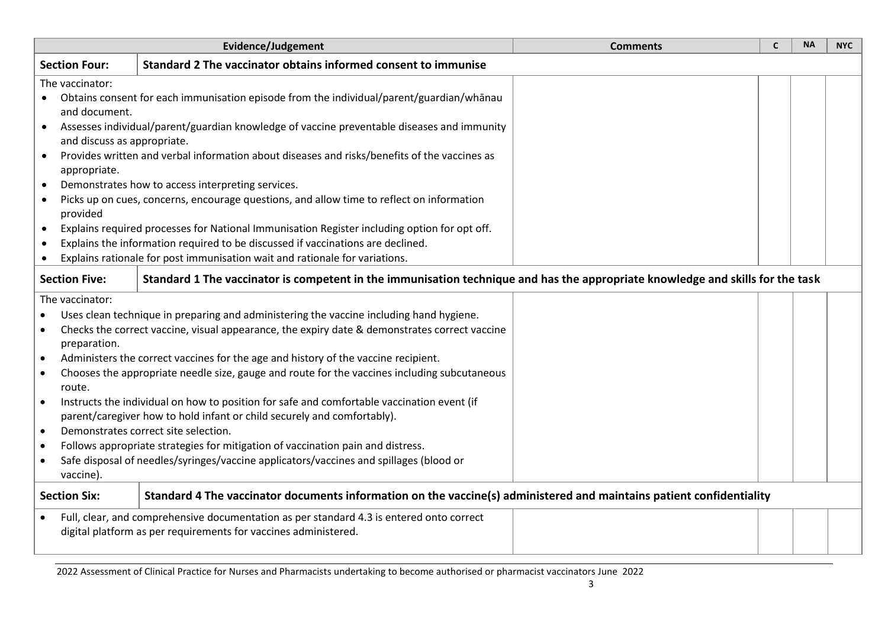|                                                                                                                                                              | <b>Evidence/Judgement</b>                                                                                                                                                                                                                                                                                                                                                                                                                                                                                                                                                                                                                                                                                                                                                    | <b>Comments</b> | <b>NA</b> | <b>NYC</b> |
|--------------------------------------------------------------------------------------------------------------------------------------------------------------|------------------------------------------------------------------------------------------------------------------------------------------------------------------------------------------------------------------------------------------------------------------------------------------------------------------------------------------------------------------------------------------------------------------------------------------------------------------------------------------------------------------------------------------------------------------------------------------------------------------------------------------------------------------------------------------------------------------------------------------------------------------------------|-----------------|-----------|------------|
| <b>Section Four:</b>                                                                                                                                         | Standard 2 The vaccinator obtains informed consent to immunise                                                                                                                                                                                                                                                                                                                                                                                                                                                                                                                                                                                                                                                                                                               |                 |           |            |
| The vaccinator:<br>and document.<br>$\bullet$<br>and discuss as appropriate.<br>$\bullet$<br>appropriate.<br>$\bullet$<br>$\bullet$<br>provided<br>$\bullet$ | Obtains consent for each immunisation episode from the individual/parent/guardian/whānau<br>Assesses individual/parent/guardian knowledge of vaccine preventable diseases and immunity<br>Provides written and verbal information about diseases and risks/benefits of the vaccines as<br>Demonstrates how to access interpreting services.<br>Picks up on cues, concerns, encourage questions, and allow time to reflect on information<br>Explains required processes for National Immunisation Register including option for opt off.<br>Explains the information required to be discussed if vaccinations are declined.                                                                                                                                                  |                 |           |            |
|                                                                                                                                                              | Explains rationale for post immunisation wait and rationale for variations.                                                                                                                                                                                                                                                                                                                                                                                                                                                                                                                                                                                                                                                                                                  |                 |           |            |
| <b>Section Five:</b>                                                                                                                                         | Standard 1 The vaccinator is competent in the immunisation technique and has the appropriate knowledge and skills for the task                                                                                                                                                                                                                                                                                                                                                                                                                                                                                                                                                                                                                                               |                 |           |            |
| The vaccinator:<br>preparation.<br>route.<br>$\bullet$<br>$\bullet$<br>$\bullet$<br>vaccine).                                                                | Uses clean technique in preparing and administering the vaccine including hand hygiene.<br>Checks the correct vaccine, visual appearance, the expiry date & demonstrates correct vaccine<br>Administers the correct vaccines for the age and history of the vaccine recipient.<br>Chooses the appropriate needle size, gauge and route for the vaccines including subcutaneous<br>Instructs the individual on how to position for safe and comfortable vaccination event (if<br>parent/caregiver how to hold infant or child securely and comfortably).<br>Demonstrates correct site selection.<br>Follows appropriate strategies for mitigation of vaccination pain and distress.<br>Safe disposal of needles/syringes/vaccine applicators/vaccines and spillages (blood or |                 |           |            |
| <b>Section Six:</b><br>Standard 4 The vaccinator documents information on the vaccine(s) administered and maintains patient confidentiality                  |                                                                                                                                                                                                                                                                                                                                                                                                                                                                                                                                                                                                                                                                                                                                                                              |                 |           |            |
|                                                                                                                                                              | Full, clear, and comprehensive documentation as per standard 4.3 is entered onto correct<br>digital platform as per requirements for vaccines administered.                                                                                                                                                                                                                                                                                                                                                                                                                                                                                                                                                                                                                  |                 |           |            |

2022 Assessment of Clinical Practice for Nurses and Pharmacists undertaking to become authorised or pharmacist vaccinators June 2022